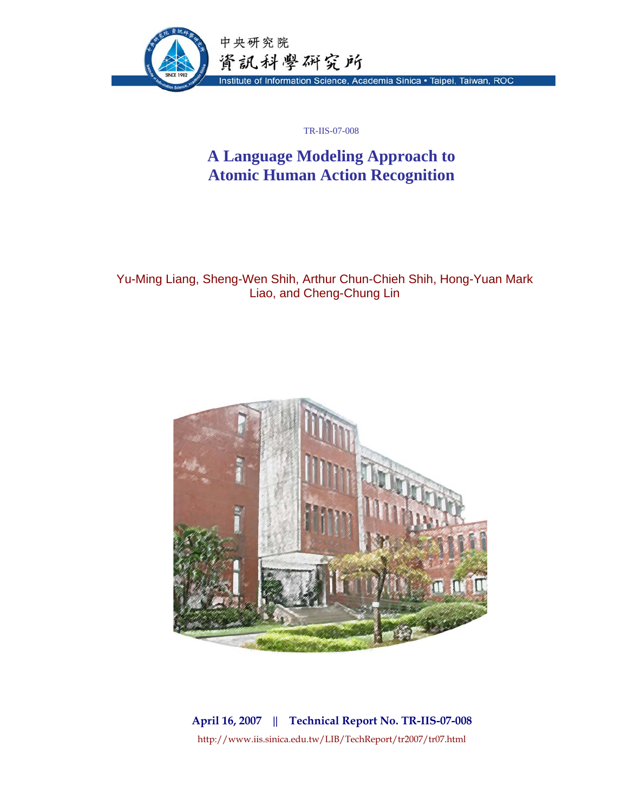

TR-IIS-07-008

# **A Language Modeling Approach to Atomic Human Action Recognition**

Yu-Ming Liang, Sheng-Wen Shih, Arthur Chun-Chieh Shih, Hong-Yuan Mark Liao, and Cheng-Chung Lin



**April 16, 2007 || Technical Report No. TR-IIS-07-008**  http://www.iis.sinica.edu.tw/LIB/TechReport/tr2007/tr07.html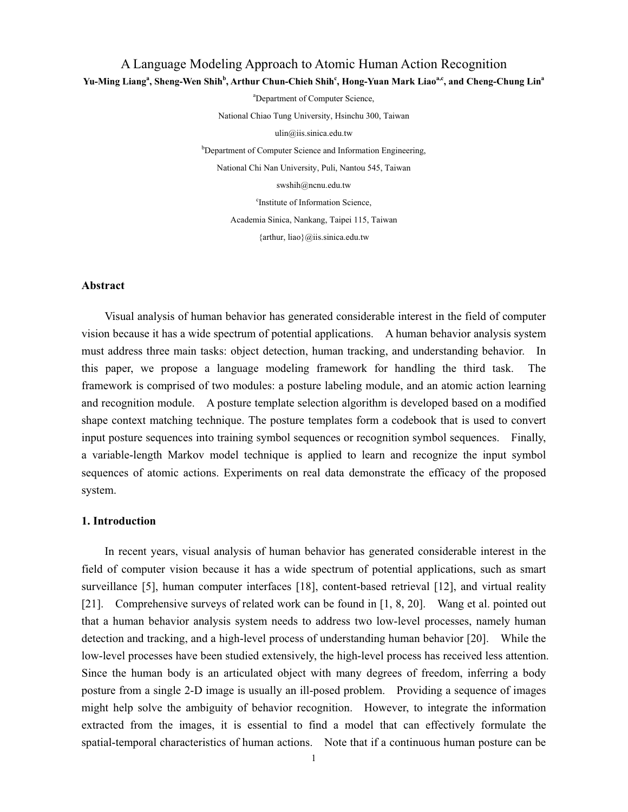# A Language Modeling Approach to Atomic Human Action Recognition Yu-Ming Liang<sup>a</sup>, Sheng-Wen Shih<sup>b</sup>, Arthur Chun-Chieh Shih<sup>c</sup>, Hong-Yuan Mark Liao<sup>a,c</sup>, and Cheng-Chung Lin<sup>a</sup>

a Department of Computer Science,

National Chiao Tung University, Hsinchu 300, Taiwan

ulin@iis.sinica.edu.tw

<sup>b</sup>Department of Computer Science and Information Engineering, National Chi Nan University, Puli, Nantou 545, Taiwan swshih@ncnu.edu.tw c Institute of Information Science, Academia Sinica, Nankang, Taipei 115, Taiwan {arthur, liao}@iis.sinica.edu.tw

#### **Abstract**

Visual analysis of human behavior has generated considerable interest in the field of computer vision because it has a wide spectrum of potential applications. A human behavior analysis system must address three main tasks: object detection, human tracking, and understanding behavior. In this paper, we propose a language modeling framework for handling the third task. The framework is comprised of two modules: a posture labeling module, and an atomic action learning and recognition module. A posture template selection algorithm is developed based on a modified shape context matching technique. The posture templates form a codebook that is used to convert input posture sequences into training symbol sequences or recognition symbol sequences. Finally, a variable-length Markov model technique is applied to learn and recognize the input symbol sequences of atomic actions. Experiments on real data demonstrate the efficacy of the proposed system.

# **1. Introduction**

In recent years, visual analysis of human behavior has generated considerable interest in the field of computer vision because it has a wide spectrum of potential applications, such as smart surveillance [5], human computer interfaces [18], content-based retrieval [12], and virtual reality [21]. Comprehensive surveys of related work can be found in [1, 8, 20]. Wang et al. pointed out that a human behavior analysis system needs to address two low-level processes, namely human detection and tracking, and a high-level process of understanding human behavior [20]. While the low-level processes have been studied extensively, the high-level process has received less attention. Since the human body is an articulated object with many degrees of freedom, inferring a body posture from a single 2-D image is usually an ill-posed problem. Providing a sequence of images might help solve the ambiguity of behavior recognition. However, to integrate the information extracted from the images, it is essential to find a model that can effectively formulate the spatial-temporal characteristics of human actions. Note that if a continuous human posture can be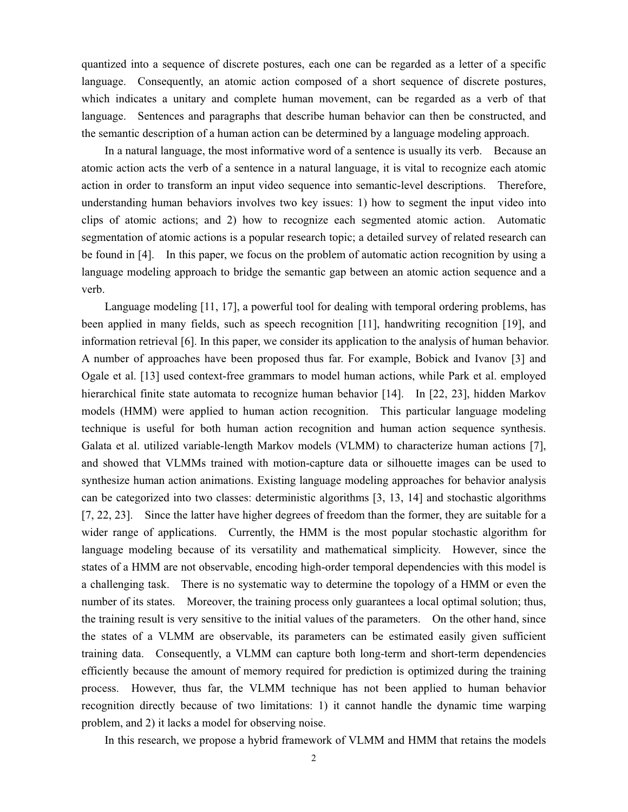quantized into a sequence of discrete postures, each one can be regarded as a letter of a specific language. Consequently, an atomic action composed of a short sequence of discrete postures, which indicates a unitary and complete human movement, can be regarded as a verb of that language. Sentences and paragraphs that describe human behavior can then be constructed, and the semantic description of a human action can be determined by a language modeling approach.

In a natural language, the most informative word of a sentence is usually its verb. Because an atomic action acts the verb of a sentence in a natural language, it is vital to recognize each atomic action in order to transform an input video sequence into semantic-level descriptions. Therefore, understanding human behaviors involves two key issues: 1) how to segment the input video into clips of atomic actions; and 2) how to recognize each segmented atomic action. Automatic segmentation of atomic actions is a popular research topic; a detailed survey of related research can be found in [4]. In this paper, we focus on the problem of automatic action recognition by using a language modeling approach to bridge the semantic gap between an atomic action sequence and a verb.

Language modeling [11, 17], a powerful tool for dealing with temporal ordering problems, has been applied in many fields, such as speech recognition [11], handwriting recognition [19], and information retrieval [6]. In this paper, we consider its application to the analysis of human behavior. A number of approaches have been proposed thus far. For example, Bobick and Ivanov [3] and Ogale et al. [13] used context-free grammars to model human actions, while Park et al. employed hierarchical finite state automata to recognize human behavior [14]. In [22, 23], hidden Markov models (HMM) were applied to human action recognition. This particular language modeling technique is useful for both human action recognition and human action sequence synthesis. Galata et al. utilized variable-length Markov models (VLMM) to characterize human actions [7], and showed that VLMMs trained with motion-capture data or silhouette images can be used to synthesize human action animations. Existing language modeling approaches for behavior analysis can be categorized into two classes: deterministic algorithms [3, 13, 14] and stochastic algorithms [7, 22, 23]. Since the latter have higher degrees of freedom than the former, they are suitable for a wider range of applications. Currently, the HMM is the most popular stochastic algorithm for language modeling because of its versatility and mathematical simplicity. However, since the states of a HMM are not observable, encoding high-order temporal dependencies with this model is a challenging task. There is no systematic way to determine the topology of a HMM or even the number of its states. Moreover, the training process only guarantees a local optimal solution; thus, the training result is very sensitive to the initial values of the parameters. On the other hand, since the states of a VLMM are observable, its parameters can be estimated easily given sufficient training data. Consequently, a VLMM can capture both long-term and short-term dependencies efficiently because the amount of memory required for prediction is optimized during the training process. However, thus far, the VLMM technique has not been applied to human behavior recognition directly because of two limitations: 1) it cannot handle the dynamic time warping problem, and 2) it lacks a model for observing noise.

In this research, we propose a hybrid framework of VLMM and HMM that retains the models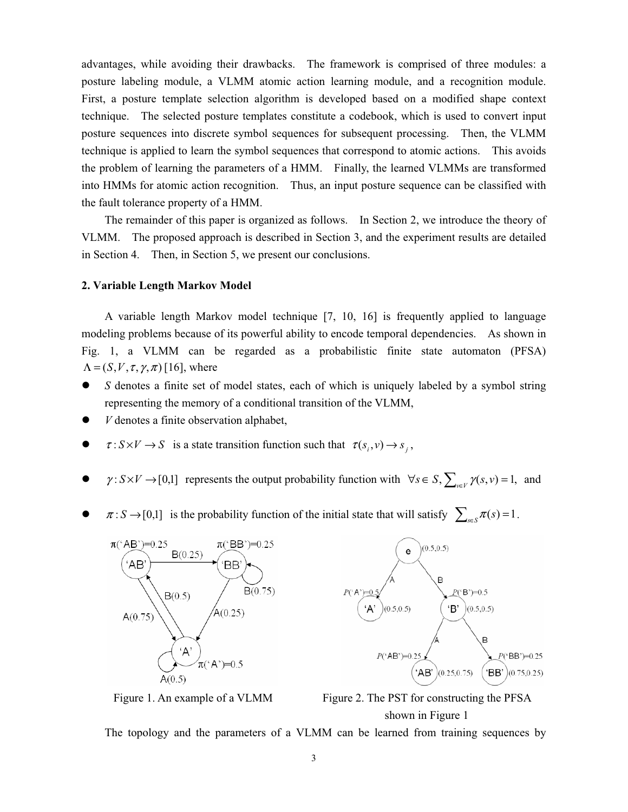advantages, while avoiding their drawbacks. The framework is comprised of three modules: a posture labeling module, a VLMM atomic action learning module, and a recognition module. First, a posture template selection algorithm is developed based on a modified shape context technique. The selected posture templates constitute a codebook, which is used to convert input posture sequences into discrete symbol sequences for subsequent processing. Then, the VLMM technique is applied to learn the symbol sequences that correspond to atomic actions. This avoids the problem of learning the parameters of a HMM. Finally, the learned VLMMs are transformed into HMMs for atomic action recognition. Thus, an input posture sequence can be classified with the fault tolerance property of a HMM.

The remainder of this paper is organized as follows. In Section 2, we introduce the theory of VLMM. The proposed approach is described in Section 3, and the experiment results are detailed in Section 4. Then, in Section 5, we present our conclusions.

#### **2. Variable Length Markov Model**

A variable length Markov model technique [7, 10, 16] is frequently applied to language modeling problems because of its powerful ability to encode temporal dependencies. As shown in Fig. 1, a VLMM can be regarded as a probabilistic finite state automaton (PFSA)  $\Lambda = (S, V, \tau, \gamma, \pi)$  [16], where

- *S* denotes a finite set of model states, each of which is uniquely labeled by a symbol string representing the memory of a conditional transition of the VLMM,
- $\bullet$  *V* denotes a finite observation alphabet,
- $\bullet$   $\tau: S \times V \to S$  is a state transition function such that  $\tau(s_i, v) \to s_i$ ,
- $\gamma: S \times V \to [0,1]$  represents the output probability function with  $\forall s \in S$ ,  $\sum_{v \in V} \gamma(s, v) = 1$ , and
- $\pi: S \to [0,1]$  is the probability function of the initial state that will satisfy  $\sum_{s \in S} \pi(s) = 1$ .





Figure 1. An example of a VLMM Figure 2. The PST for constructing the PFSA shown in Figure 1

The topology and the parameters of a VLMM can be learned from training sequences by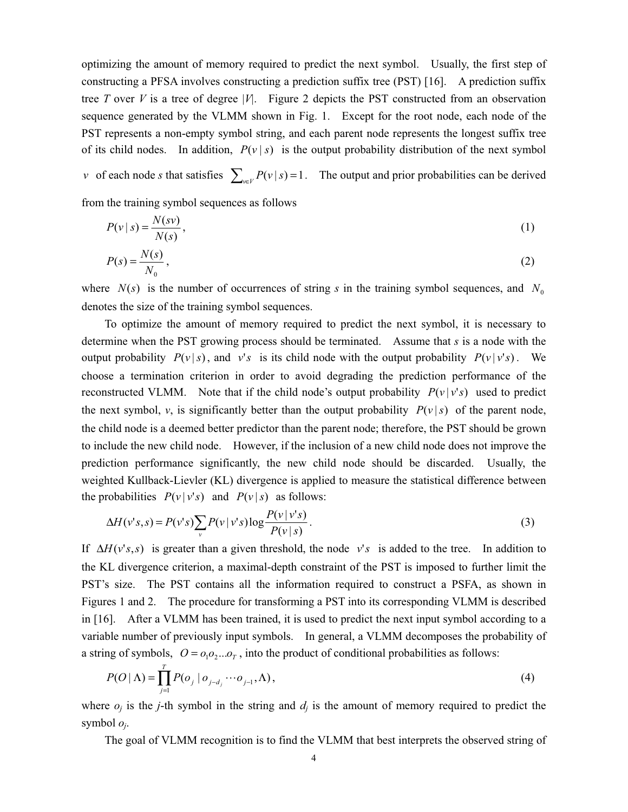optimizing the amount of memory required to predict the next symbol. Usually, the first step of constructing a PFSA involves constructing a prediction suffix tree (PST) [16]. A prediction suffix tree *T* over *V* is a tree of degree  $|V|$ . Figure 2 depicts the PST constructed from an observation sequence generated by the VLMM shown in Fig. 1. Except for the root node, each node of the PST represents a non-empty symbol string, and each parent node represents the longest suffix tree of its child nodes. In addition,  $P(v | s)$  is the output probability distribution of the next symbol

*v* of each node *s* that satisfies  $\sum_{v \in V} P(v | s) = 1$ . The output and prior probabilities can be derived

from the training symbol sequences as follows

$$
P(v \mid s) = \frac{N(sv)}{N(s)},\tag{1}
$$

$$
P(s) = \frac{N(s)}{N_0},\tag{2}
$$

where  $N(s)$  is the number of occurrences of string *s* in the training symbol sequences, and  $N_0$ denotes the size of the training symbol sequences.

To optimize the amount of memory required to predict the next symbol, it is necessary to determine when the PST growing process should be terminated. Assume that *s* is a node with the output probability  $P(v|s)$ , and  $v's$  is its child node with the output probability  $P(v|v's)$ . We choose a termination criterion in order to avoid degrading the prediction performance of the reconstructed VLMM. Note that if the child node's output probability  $P(v | v's)$  used to predict the next symbol, *v*, is significantly better than the output probability  $P(v|s)$  of the parent node, the child node is a deemed better predictor than the parent node; therefore, the PST should be grown to include the new child node. However, if the inclusion of a new child node does not improve the prediction performance significantly, the new child node should be discarded. Usually, the weighted Kullback-Lievler (KL) divergence is applied to measure the statistical difference between the probabilities  $P(v|v's)$  and  $P(v|s)$  as follows:

$$
\Delta H(v's, s) = P(v's) \sum_{v} P(v | v's) \log \frac{P(v | v's)}{P(v | s)}.
$$
\n(3)

If  $\Delta H(v's, s)$  is greater than a given threshold, the node  $v's$  is added to the tree. In addition to the KL divergence criterion, a maximal-depth constraint of the PST is imposed to further limit the PST's size. The PST contains all the information required to construct a PSFA, as shown in Figures 1 and 2. The procedure for transforming a PST into its corresponding VLMM is described in [16]. After a VLMM has been trained, it is used to predict the next input symbol according to a variable number of previously input symbols. In general, a VLMM decomposes the probability of a string of symbols,  $O = O_1 O_2 ... O_T$ , into the product of conditional probabilities as follows:

$$
P(O \mid \Lambda) = \prod_{j=1}^{T} P(o_j \mid o_{j-d_j} \cdots o_{j-1}, \Lambda), \tag{4}
$$

where  $o_j$  is the *j*-th symbol in the string and  $d_j$  is the amount of memory required to predict the symbol *oj*.

The goal of VLMM recognition is to find the VLMM that best interprets the observed string of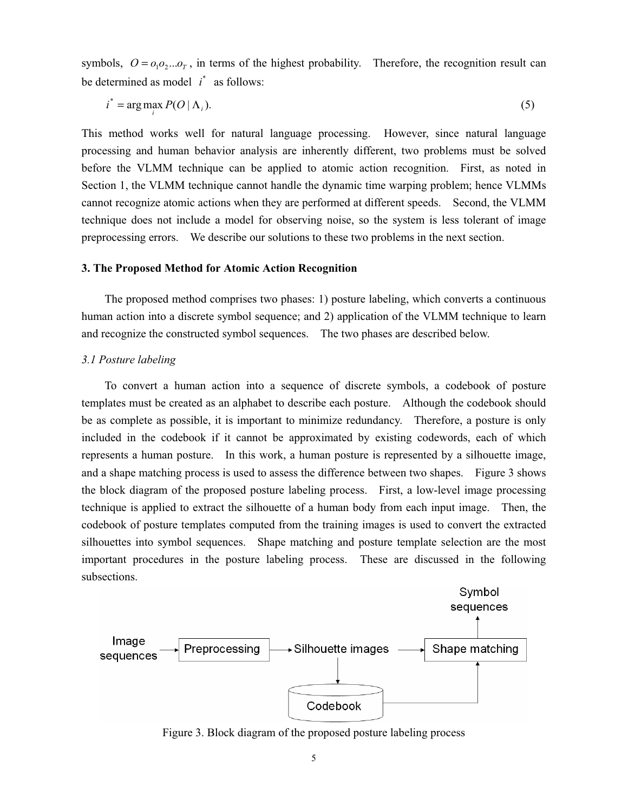symbols,  $O = o_1 o_2 ... o_T$ , in terms of the highest probability. Therefore, the recognition result can be determined as model  $i^*$  as follows:

$$
i^* = \arg\max_i P(O \mid \Lambda_i). \tag{5}
$$

This method works well for natural language processing. However, since natural language processing and human behavior analysis are inherently different, two problems must be solved before the VLMM technique can be applied to atomic action recognition. First, as noted in Section 1, the VLMM technique cannot handle the dynamic time warping problem; hence VLMMs cannot recognize atomic actions when they are performed at different speeds. Second, the VLMM technique does not include a model for observing noise, so the system is less tolerant of image preprocessing errors. We describe our solutions to these two problems in the next section.

# **3. The Proposed Method for Atomic Action Recognition**

The proposed method comprises two phases: 1) posture labeling, which converts a continuous human action into a discrete symbol sequence; and 2) application of the VLMM technique to learn and recognize the constructed symbol sequences. The two phases are described below.

#### *3.1 Posture labeling*

To convert a human action into a sequence of discrete symbols, a codebook of posture templates must be created as an alphabet to describe each posture. Although the codebook should be as complete as possible, it is important to minimize redundancy. Therefore, a posture is only included in the codebook if it cannot be approximated by existing codewords, each of which represents a human posture. In this work, a human posture is represented by a silhouette image, and a shape matching process is used to assess the difference between two shapes. Figure 3 shows the block diagram of the proposed posture labeling process. First, a low-level image processing technique is applied to extract the silhouette of a human body from each input image. Then, the codebook of posture templates computed from the training images is used to convert the extracted silhouettes into symbol sequences. Shape matching and posture template selection are the most important procedures in the posture labeling process. These are discussed in the following subsections.



Figure 3. Block diagram of the proposed posture labeling process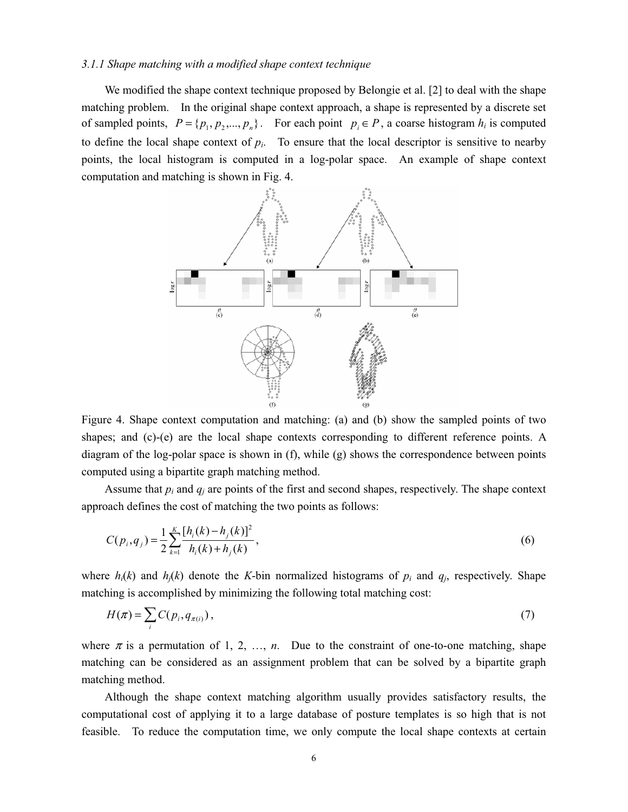#### *3.1.1 Shape matching with a modified shape context technique*

We modified the shape context technique proposed by Belongie et al. [2] to deal with the shape matching problem. In the original shape context approach, a shape is represented by a discrete set of sampled points,  $P = \{p_1, p_2, ..., p_n\}$ . For each point  $p_i \in P$ , a coarse histogram  $h_i$  is computed to define the local shape context of  $p_i$ . To ensure that the local descriptor is sensitive to nearby points, the local histogram is computed in a log-polar space. An example of shape context computation and matching is shown in Fig. 4.



Figure 4. Shape context computation and matching: (a) and (b) show the sampled points of two shapes; and (c)-(e) are the local shape contexts corresponding to different reference points. A diagram of the log-polar space is shown in (f), while (g) shows the correspondence between points computed using a bipartite graph matching method.

Assume that  $p_i$  and  $q_j$  are points of the first and second shapes, respectively. The shape context approach defines the cost of matching the two points as follows:

$$
C(p_i, q_j) = \frac{1}{2} \sum_{k=1}^{K} \frac{[h_i(k) - h_j(k)]^2}{h_i(k) + h_j(k)},
$$
\n(6)

where  $h_i(k)$  and  $h_j(k)$  denote the *K*-bin normalized histograms of  $p_i$  and  $q_j$ , respectively. Shape matching is accomplished by minimizing the following total matching cost:

$$
H(\pi) = \sum_{i} C(p_i, q_{\pi(i)}), \tag{7}
$$

where  $\pi$  is a permutation of 1, 2, ..., *n*. Due to the constraint of one-to-one matching, shape matching can be considered as an assignment problem that can be solved by a bipartite graph matching method.

Although the shape context matching algorithm usually provides satisfactory results, the computational cost of applying it to a large database of posture templates is so high that is not feasible. To reduce the computation time, we only compute the local shape contexts at certain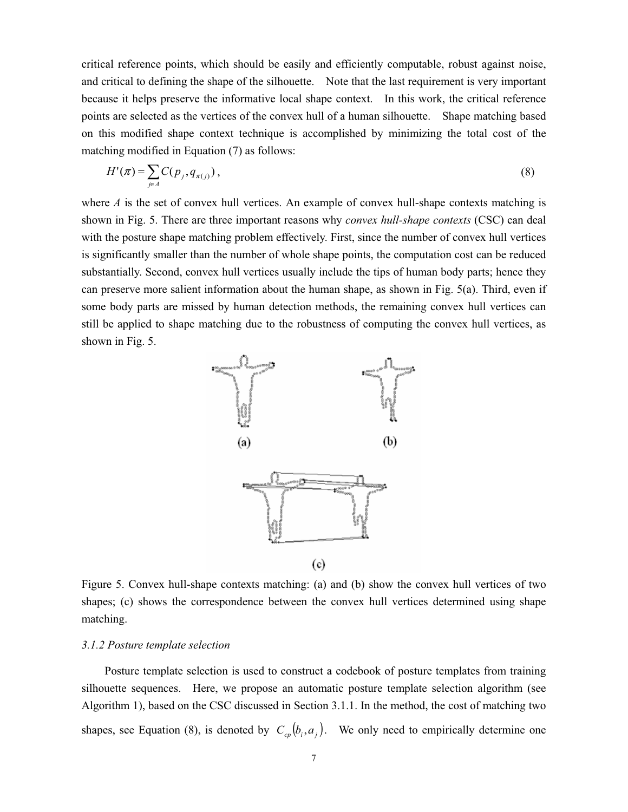critical reference points, which should be easily and efficiently computable, robust against noise, and critical to defining the shape of the silhouette. Note that the last requirement is very important because it helps preserve the informative local shape context. In this work, the critical reference points are selected as the vertices of the convex hull of a human silhouette. Shape matching based on this modified shape context technique is accomplished by minimizing the total cost of the matching modified in Equation (7) as follows:

$$
H'(\pi) = \sum_{j \in \Lambda} C(p_j, q_{\pi(j)}), \qquad (8)
$$

where *A* is the set of convex hull vertices. An example of convex hull-shape contexts matching is shown in Fig. 5. There are three important reasons why *convex hull-shape contexts* (CSC) can deal with the posture shape matching problem effectively. First, since the number of convex hull vertices is significantly smaller than the number of whole shape points, the computation cost can be reduced substantially. Second, convex hull vertices usually include the tips of human body parts; hence they can preserve more salient information about the human shape, as shown in Fig. 5(a). Third, even if some body parts are missed by human detection methods, the remaining convex hull vertices can still be applied to shape matching due to the robustness of computing the convex hull vertices, as shown in Fig. 5.



Figure 5. Convex hull-shape contexts matching: (a) and (b) show the convex hull vertices of two shapes; (c) shows the correspondence between the convex hull vertices determined using shape matching.

# *3.1.2 Posture template selection*

Posture template selection is used to construct a codebook of posture templates from training silhouette sequences. Here, we propose an automatic posture template selection algorithm (see Algorithm 1), based on the CSC discussed in Section 3.1.1. In the method, the cost of matching two shapes, see Equation (8), is denoted by  $C_{cp} (b_i, a_j)$ . We only need to empirically determine one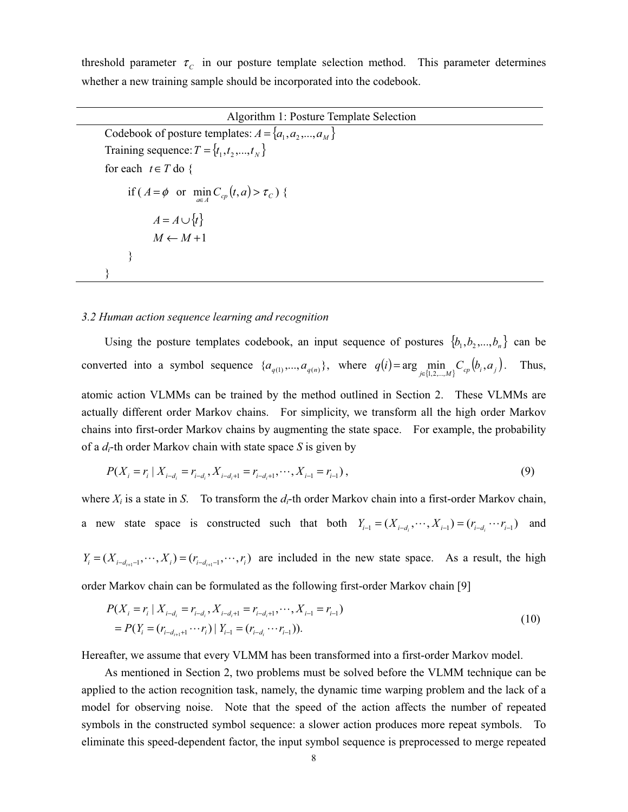threshold parameter  $\tau_c$  in our posture template selection method. This parameter determines whether a new training sample should be incorporated into the codebook.

Algorithm 1: Posture Template Selection Codebook of posture templates:  $A = \{a_1, a_2, ..., a_M\}$ Training sequence:  $T = \{t_1, t_2, ..., t_N\}$ for each  $t \in T$  do { if  $(A = \phi \text{ or } \min_{a \in A} C_{cp}(t, a) > \tau_{C}$ ) {  $A = A \cup \{t\}$  $M \leftarrow M+1$ } }

## *3.2 Human action sequence learning and recognition*

Using the posture templates codebook, an input sequence of postures  $\{b_1, b_2, ..., b_n\}$  can be converted into a symbol sequence  $\{a_{q(1)},...,a_{q(n)}\}$ , where  $q(i) = \arg\min_{j \in \{1,2,...,M\}} C_{cp}(b_i, a_j)$ . Thus, atomic action VLMMs can be trained by the method outlined in Section 2. These VLMMs are actually different order Markov chains. For simplicity, we transform all the high order Markov chains into first-order Markov chains by augmenting the state space. For example, the probability of a *di*-th order Markov chain with state space *S* is given by

$$
P(X_i = r_i \mid X_{i-d_i} = r_{i-d_i}, X_{i-d_i+1} = r_{i-d_i+1}, \cdots, X_{i-1} = r_{i-1}),
$$
\n
$$
(9)
$$

where  $X_i$  is a state in *S*. To transform the  $d_i$ -th order Markov chain into a first-order Markov chain, a new state space is constructed such that both  $Y_{i-1} = (X_{i-d_i}, \dots, X_{i-1}) = (r_{i-d_i} \dots r_{i-1})$  and

 $Y_i = (X_{i-d_{i-1}}, \dots, X_i) = (r_{i-d_{i-1}}, \dots, r_i)$  are included in the new state space. As a result, the high order Markov chain can be formulated as the following first-order Markov chain [9]

$$
P(X_i = r_i | X_{i-d_i} = r_{i-d_i}, X_{i-d_i+1} = r_{i-d_i+1}, \cdots, X_{i-1} = r_{i-1})
$$
  
= 
$$
P(Y_i = (r_{i-d_{i+1}+1} \cdots r_i) | Y_{i-1} = (r_{i-d_i} \cdots r_{i-1})).
$$
 (10)

Hereafter, we assume that every VLMM has been transformed into a first-order Markov model.

As mentioned in Section 2, two problems must be solved before the VLMM technique can be applied to the action recognition task, namely, the dynamic time warping problem and the lack of a model for observing noise. Note that the speed of the action affects the number of repeated symbols in the constructed symbol sequence: a slower action produces more repeat symbols. To eliminate this speed-dependent factor, the input symbol sequence is preprocessed to merge repeated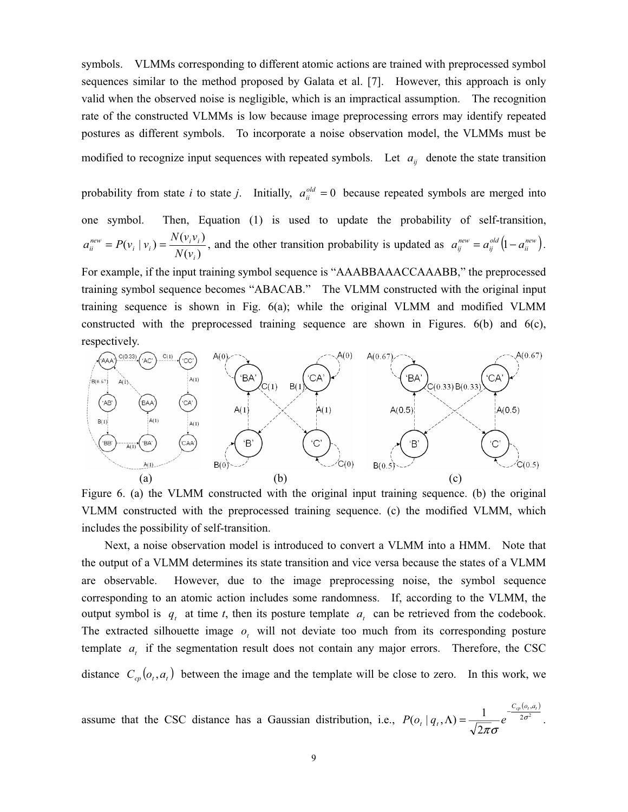symbols. VLMMs corresponding to different atomic actions are trained with preprocessed symbol sequences similar to the method proposed by Galata et al. [7]. However, this approach is only valid when the observed noise is negligible, which is an impractical assumption. The recognition rate of the constructed VLMMs is low because image preprocessing errors may identify repeated postures as different symbols. To incorporate a noise observation model, the VLMMs must be modified to recognize input sequences with repeated symbols. Let  $a_{ij}$  denote the state transition

probability from state *i* to state *j*. Initially,  $a_{ii}^{old} = 0$  because repeated symbols are merged into one symbol. Then, Equation (1) is used to update the probability of self-transition,  $(v_i)$  $(v_i | v_i) = \frac{N(v_i v_i)}{N(v_i)}$ *i*  $P_i^{new} = P(v_i | v_i) = \frac{N(v_i v_i)}{N(v_i)}$  $a_i^{new} = P(v_i | v_i) = \frac{N(v_i v_i)}{N(v_i)}$ , and the other transition probability is updated as  $a_{ij}^{new} = a_{ij}^{old} (1 - a_{ii}^{new})$ .

For example, if the input training symbol sequence is "AAABBAAACCAAABB," the preprocessed training symbol sequence becomes "ABACAB." The VLMM constructed with the original input training sequence is shown in Fig. 6(a); while the original VLMM and modified VLMM constructed with the preprocessed training sequence are shown in Figures.  $6(b)$  and  $6(c)$ , respectively.



Figure 6. (a) the VLMM constructed with the original input training sequence. (b) the original VLMM constructed with the preprocessed training sequence. (c) the modified VLMM, which includes the possibility of self-transition.

Next, a noise observation model is introduced to convert a VLMM into a HMM. Note that the output of a VLMM determines its state transition and vice versa because the states of a VLMM are observable. However, due to the image preprocessing noise, the symbol sequence corresponding to an atomic action includes some randomness. If, according to the VLMM, the output symbol is  $q_t$  at time *t*, then its posture template  $q_t$  can be retrieved from the codebook. The extracted silhouette image  $o_t$  will not deviate too much from its corresponding posture template *a*, if the segmentation result does not contain any major errors. Therefore, the CSC distance  $C_{cp}(o_t, a_t)$  between the image and the template will be close to zero. In this work, we

assume that the CSC distance has a Gaussian distribution, i.e.,  $(o_{t}, a_{t})$  $2\sigma^2$ , 2  $(o_t | q_t, \Lambda) = \frac{1}{\sqrt{2\pi}\sigma} e^{-\frac{C_{cp}(o_t)}{2\sigma}}$  $C_{cp}$   $(o_t, a_t$  $P(o_t | q_t, \Lambda) = \frac{1}{\sqrt{2}} e^{-\frac{(np(t))^{2}}{2\sigma^2}}$ .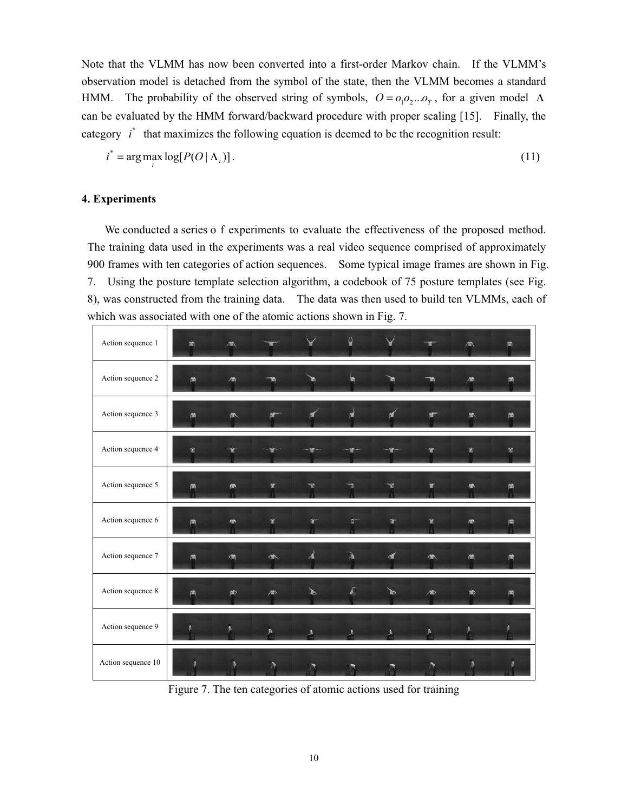Note that the VLMM has now been converted into a first-order Markov chain. If the VLMM's observation model is detached from the symbol of the state, then the VLMM becomes a standard HMM. The probability of the observed string of symbols,  $O = O_1O_2...O_T$ , for a given model  $\Lambda$ can be evaluated by the HMM forward/backward procedure with proper scaling [15]. Finally, the category  $i^*$  that maximizes the following equation is deemed to be the recognition result:

$$
i^* = \arg\max_i \log[P(O|\Lambda_i)].
$$
\n(11)

# **4. Experiments**

We conducted a series o f experiments to evaluate the effectiveness of the proposed method. The training data used in the experiments was a real video sequence comprised of approximately 900 frames with ten categories of action sequences. Some typical image frames are shown in Fig. 7. Using the posture template selection algorithm, a codebook of 75 posture templates (see Fig. 8), was constructed from the training data. The data was then used to build ten VLMMs, each of which was associated with one of the atomic actions shown in Fig. 7.

| Action sequence 1  |   |   |   |   |   |   |   |    |   |
|--------------------|---|---|---|---|---|---|---|----|---|
| Action sequence 2  |   |   |   |   |   |   |   |    |   |
| Action sequence 3  | 商 | め |   |   |   |   |   | 畝  |   |
| Action sequence 4  | w |   |   |   |   |   |   |    | n |
| Action sequence 5  |   | 応 |   |   |   |   |   | 小  |   |
| Action sequence 6  |   | m |   | m |   |   | D | n. |   |
| Action sequence 7  |   |   | 小 |   |   |   | 体 |    |   |
| Action sequence 8  |   | め | 庵 | Ъ | Æ | ь | 庵 | 协  |   |
| Action sequence 9  |   |   | A | А |   |   | Δ |    |   |
| Action sequence 10 |   |   |   |   |   |   |   |    |   |

Figure 7. The ten categories of atomic actions used for training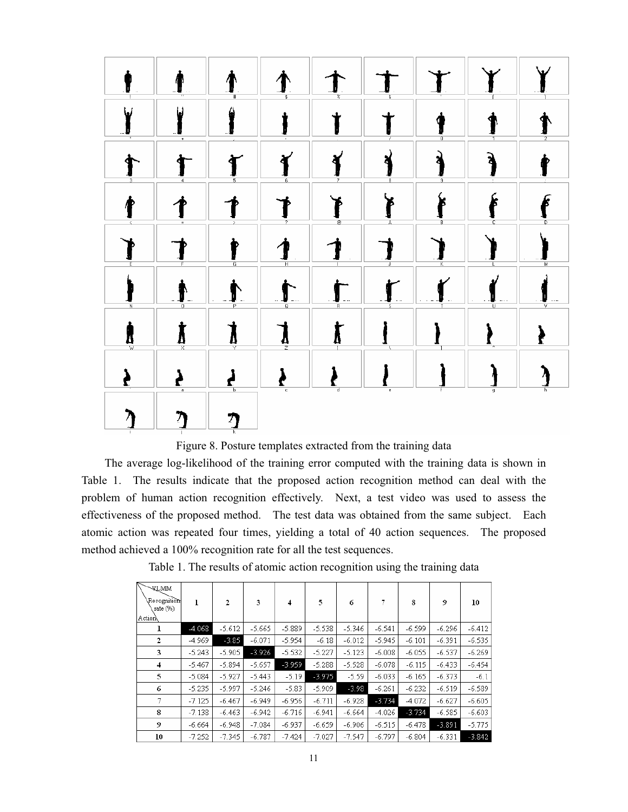

Figure 8. Posture templates extracted from the training data

The average log-likelihood of the training error computed with the training data is shown in Table 1. The results indicate that the proposed action recognition method can deal with the problem of human action recognition effectively. Next, a test video was used to assess the effectiveness of the proposed method. The test data was obtained from the same subject. Each atomic action was repeated four times, yielding a total of 40 action sequences. The proposed method achieved a 100% recognition rate for all the test sequences.

|  |  |  | Table 1. The results of atomic action recognition using the training data |  |
|--|--|--|---------------------------------------------------------------------------|--|
|  |  |  |                                                                           |  |

| <b>WILMM</b><br>Recognition<br>rate (%)<br>Action | ı        | $\mathfrak{p}$ | 3        | 4        | 5        | 6        |          | 8        | 9        | 10       |
|---------------------------------------------------|----------|----------------|----------|----------|----------|----------|----------|----------|----------|----------|
| ı                                                 | $-4.068$ | $-5.612$       | $-5.665$ | $-5.889$ | $-5.538$ | $-5.346$ | $-6.541$ | $-6.599$ | $-6.296$ | $-6.412$ |
| 2                                                 | $-4.969$ | $-3.85$        | $-6.071$ | $-5.954$ | $-6.18$  | $-6.012$ | $-5.945$ | $-6.101$ | -6.391   | $-6.535$ |
| 3                                                 | $-5.243$ | $-5.905$       | $-3.926$ | $-5.532$ | $-5.227$ | $-5.123$ | $-6.008$ | $-6.055$ | $-6.537$ | $-6.269$ |
| 4                                                 | $-5.467$ | $-5.894$       | $-5.657$ | $-3.959$ | $-5.288$ | $-5.528$ | $-6.078$ | $-6.115$ | $-6.433$ | $-6.454$ |
| 5                                                 | $-5.084$ | $-5.927$       | $-5.443$ | $-5.19$  | $-3.975$ | $-5.59$  | $-6.033$ | $-6.165$ | $-6.373$ | $-6.1$   |
| 6                                                 | $-5.235$ | $-5.997$       | $-5.246$ | $-5.83$  | $-5.909$ | $-3.98$  | $-6.261$ | $-6.232$ | $-6.519$ | $-6.589$ |
|                                                   | $-7.125$ | $-6.467$       | $-6.949$ | $-6.956$ | $-6.711$ | $-6.928$ | $-3.734$ | $-4.072$ | $-6.627$ | $-6.605$ |
| 8                                                 | $-7.138$ | $-6.463$       | $-6.942$ | $-6.716$ | $-6.941$ | -6.664   | $-4.026$ | $-3.734$ | $-6.585$ | $-6.603$ |
| 9                                                 | -6.664   | $-6.948$       | $-7.084$ | $-6.937$ | $-6.659$ | $-6.906$ | $-6.515$ | $-6.478$ | $-3.891$ | $-5.775$ |
| 10                                                | $-7.252$ | $-7.345$       | $-6.787$ | $-7.424$ | $-7.027$ | $-7.547$ | $-6.797$ | $-6.804$ | $-6.331$ | $-3.842$ |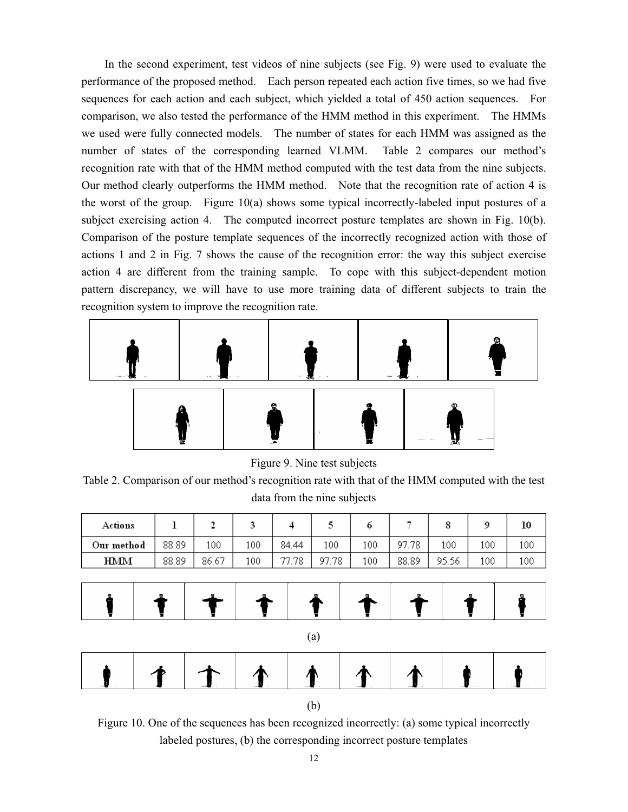In the second experiment, test videos of nine subjects (see Fig. 9) were used to evaluate the performance of the proposed method. Each person repeated each action five times, so we had five sequences for each action and each subject, which yielded a total of 450 action sequences. For comparison, we also tested the performance of the HMM method in this experiment. The HMMs we used were fully connected models. The number of states for each HMM was assigned as the number of states of the corresponding learned VLMM. Table 2 compares our method's recognition rate with that of the HMM method computed with the test data from the nine subjects. Our method clearly outperforms the HMM method. Note that the recognition rate of action 4 is the worst of the group. Figure 10(a) shows some typical incorrectly-labeled input postures of a subject exercising action 4. The computed incorrect posture templates are shown in Fig. 10(b). Comparison of the posture template sequences of the incorrectly recognized action with those of actions 1 and 2 in Fig. 7 shows the cause of the recognition error: the way this subject exercise action 4 are different from the training sample. To cope with this subject-dependent motion pattern discrepancy, we will have to use more training data of different subjects to train the recognition system to improve the recognition rate.



Figure 9. Nine test subjects

Table 2. Comparison of our method's recognition rate with that of the HMM computed with the test data from the nine subjects

| Actions    |       |       |     |       |       |     |           |       |     | 10  |
|------------|-------|-------|-----|-------|-------|-----|-----------|-------|-----|-----|
| Our method | 88.89 | 100   | 100 | 84.44 | 100   | 100 | .78<br>97 | 100   | 100 | 100 |
| HMM        | 88.89 | 86.67 | 100 | 77.78 | 97.78 | 100 | 88.89     | 95.56 | 100 | 100 |





Figure 10. One of the sequences has been recognized incorrectly: (a) some typical incorrectly labeled postures, (b) the corresponding incorrect posture templates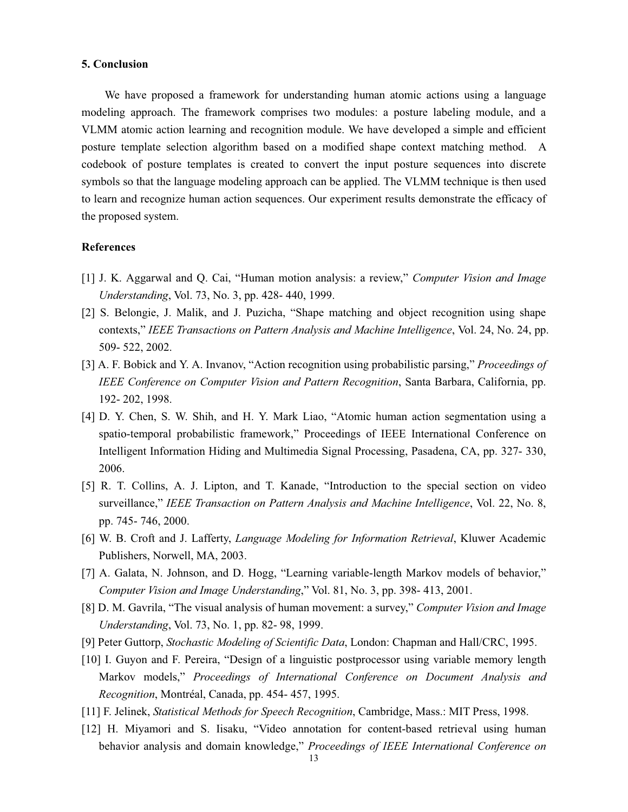#### **5. Conclusion**

We have proposed a framework for understanding human atomic actions using a language modeling approach. The framework comprises two modules: a posture labeling module, and a VLMM atomic action learning and recognition module. We have developed a simple and efficient posture template selection algorithm based on a modified shape context matching method. A codebook of posture templates is created to convert the input posture sequences into discrete symbols so that the language modeling approach can be applied. The VLMM technique is then used to learn and recognize human action sequences. Our experiment results demonstrate the efficacy of the proposed system.

#### **References**

- [1] J. K. Aggarwal and Q. Cai, "Human motion analysis: a review," *Computer Vision and Image Understanding*, Vol. 73, No. 3, pp. 428- 440, 1999.
- [2] S. Belongie, J. Malik, and J. Puzicha, "Shape matching and object recognition using shape contexts," *IEEE Transactions on Pattern Analysis and Machine Intelligence*, Vol. 24, No. 24, pp. 509- 522, 2002.
- [3] A. F. Bobick and Y. A. Invanov, "Action recognition using probabilistic parsing," *Proceedings of IEEE Conference on Computer Vision and Pattern Recognition*, Santa Barbara, California, pp. 192- 202, 1998.
- [4] D. Y. Chen, S. W. Shih, and H. Y. Mark Liao, "Atomic human action segmentation using a spatio-temporal probabilistic framework," Proceedings of IEEE International Conference on Intelligent Information Hiding and Multimedia Signal Processing, Pasadena, CA, pp. 327- 330, 2006.
- [5] R. T. Collins, A. J. Lipton, and T. Kanade, "Introduction to the special section on video surveillance," *IEEE Transaction on Pattern Analysis and Machine Intelligence*, Vol. 22, No. 8, pp. 745- 746, 2000.
- [6] W. B. Croft and J. Lafferty, *Language Modeling for Information Retrieval*, Kluwer Academic Publishers, Norwell, MA, 2003.
- [7] A. Galata, N. Johnson, and D. Hogg, "Learning variable-length Markov models of behavior," *Computer Vision and Image Understanding*," Vol. 81, No. 3, pp. 398- 413, 2001.
- [8] D. M. Gavrila, "The visual analysis of human movement: a survey," *Computer Vision and Image Understanding*, Vol. 73, No. 1, pp. 82- 98, 1999.
- [9] Peter Guttorp, *Stochastic Modeling of Scientific Data*, London: Chapman and Hall/CRC, 1995.
- [10] I. Guyon and F. Pereira, "Design of a linguistic postprocessor using variable memory length Markov models," *Proceedings of International Conference on Document Analysis and Recognition*, Montréal, Canada, pp. 454- 457, 1995.
- [11] F. Jelinek, *Statistical Methods for Speech Recognition*, Cambridge, Mass.: MIT Press, 1998.
- [12] H. Miyamori and S. Iisaku, "Video annotation for content-based retrieval using human behavior analysis and domain knowledge," *Proceedings of IEEE International Conference on*